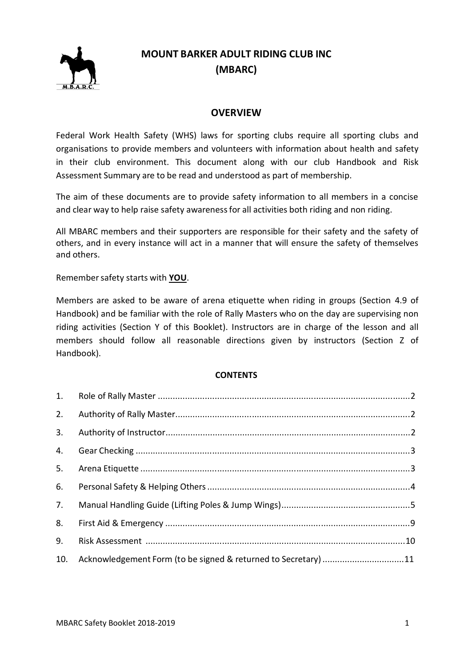

# **MOUNT BARKER ADULT RIDING CLUB INC (MBARC)**

## **OVERVIEW**

Federal Work Health Safety (WHS) laws for sporting clubs require all sporting clubs and organisations to provide members and volunteers with information about health and safety in their club environment. This document along with our club Handbook and Risk Assessment Summary are to be read and understood as part of membership.

The aim of these documents are to provide safety information to all members in a concise and clear way to help raise safety awarenessfor all activities both riding and non riding.

All MBARC members and their supporters are responsible for their safety and the safety of others, and in every instance will act in a manner that will ensure the safety of themselves and others.

Remembersafety starts with **YOU**.

Members are asked to be aware of arena etiquette when riding in groups (Section 4.9 of Handbook) and be familiar with the role of Rally Masters who on the day are supervising non riding activities (Section Y of this Booklet). Instructors are in charge of the lesson and all members should follow all reasonable directions given by instructors (Section Z of Handbook).

#### **CONTENTS**

| 2.  |                                                                |  |
|-----|----------------------------------------------------------------|--|
| 3.  |                                                                |  |
| 4.  |                                                                |  |
| 5.  |                                                                |  |
| 6.  |                                                                |  |
| 7.  |                                                                |  |
|     |                                                                |  |
| 9.  |                                                                |  |
| 10. | Acknowledgement Form (to be signed & returned to Secretary) 11 |  |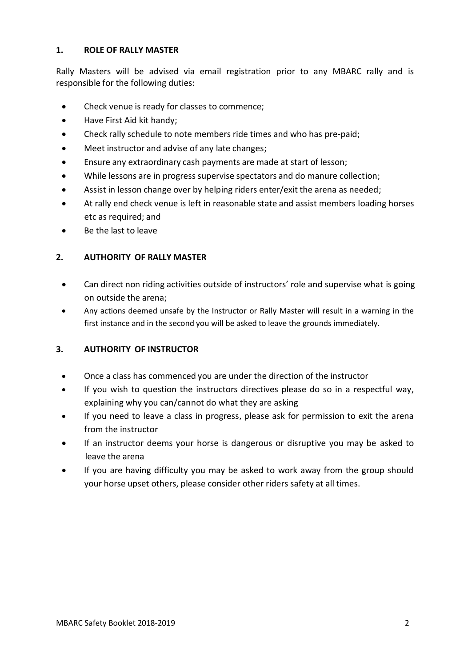## **1. ROLE OF RALLY MASTER**

Rally Masters will be advised via email registration prior to any MBARC rally and is responsible for the following duties:

- Check venue is ready for classes to commence;
- Have First Aid kit handy;
- Check rally schedule to note members ride times and who has pre-paid;
- Meet instructor and advise of any late changes;
- Ensure any extraordinary cash payments are made at start of lesson;
- While lessons are in progress supervise spectators and do manure collection;
- Assist in lesson change over by helping riders enter/exit the arena as needed;
- At rally end check venue is left in reasonable state and assist members loading horses etc as required; and
- Be the last to leave

## **2. AUTHORITY OF RALLY MASTER**

- Can direct non riding activities outside of instructors' role and supervise what is going on outside the arena;
- Any actions deemed unsafe by the Instructor or Rally Master will result in a warning in the first instance and in the second you will be asked to leave the grounds immediately.

## **3. AUTHORITY OF INSTRUCTOR**

- Once a class has commenced you are under the direction of the instructor
- If you wish to question the instructors directives please do so in a respectful way, explaining why you can/cannot do what they are asking
- If you need to leave a class in progress, please ask for permission to exit the arena from the instructor
- If an instructor deems your horse is dangerous or disruptive you may be asked to leave the arena
- If you are having difficulty you may be asked to work away from the group should your horse upset others, please consider other riders safety at all times.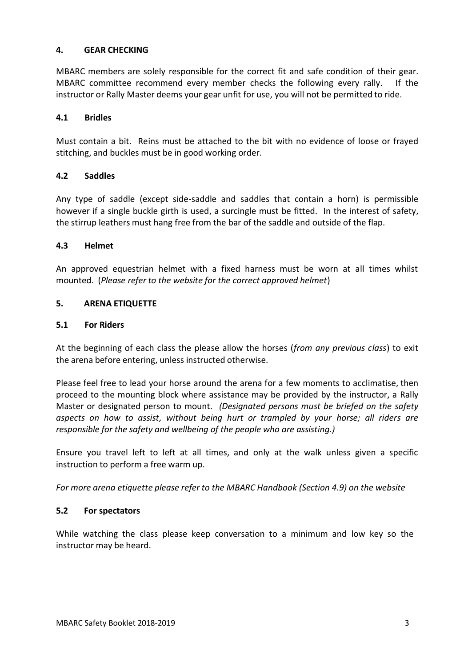## **4. GEAR CHECKING**

MBARC members are solely responsible for the correct fit and safe condition of their gear. MBARC committee recommend every member checks the following every rally. If the instructor or Rally Master deems your gear unfit for use, you will not be permitted to ride.

## **4.1 Bridles**

Must contain a bit. Reins must be attached to the bit with no evidence of loose or frayed stitching, and buckles must be in good working order.

## **4.2 Saddles**

Any type of saddle (except side-saddle and saddles that contain a horn) is permissible however if a single buckle girth is used, a surcingle must be fitted. In the interest of safety, the stirrup leathers must hang free from the bar of the saddle and outside of the flap.

#### **4.3 Helmet**

An approved equestrian helmet with a fixed harness must be worn at all times whilst mounted. (*Please refer to the website for the correct approved helmet*)

## **5. ARENA ETIQUETTE**

#### **5.1 For Riders**

At the beginning of each class the please allow the horses (*from any previous class*) to exit the arena before entering, unless instructed otherwise.

Please feel free to lead your horse around the arena for a few moments to acclimatise, then proceed to the mounting block where assistance may be provided by the instructor, a Rally Master or designated person to mount. *(Designated persons must be briefed on the safety aspects on how to assist, without being hurt or trampled by your horse; all riders are responsible for the safety and wellbeing of the people who are assisting.)*

Ensure you travel left to left at all times, and only at the walk unless given a specific instruction to perform a free warm up.

#### *For more arena etiquette please refer to the MBARC Handbook (Section 4.9) on the website*

#### **5.2 For spectators**

While watching the class please keep conversation to a minimum and low key so the instructor may be heard.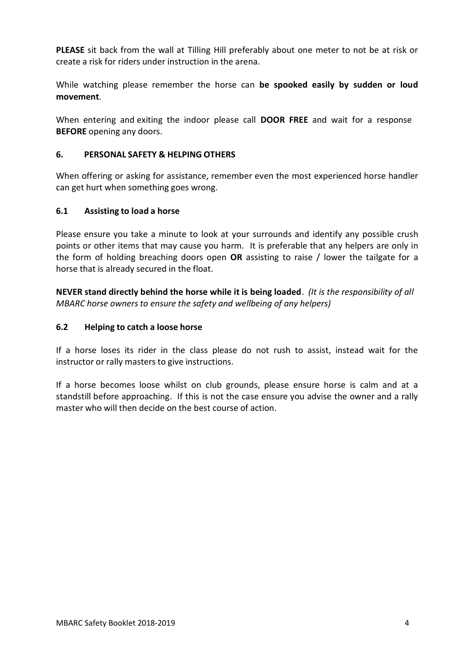**PLEASE** sit back from the wall at Tilling Hill preferably about one meter to not be at risk or create a risk for riders under instruction in the arena.

While watching please remember the horse can **be spooked easily by sudden or loud movement**.

When entering and exiting the indoor please call **DOOR FREE** and wait for a response **BEFORE** opening any doors.

## **6. PERSONAL SAFETY & HELPING OTHERS**

When offering or asking for assistance, remember even the most experienced horse handler can get hurt when something goes wrong.

## **6.1 Assisting to load a horse**

Please ensure you take a minute to look at your surrounds and identify any possible crush points or other items that may cause you harm. It is preferable that any helpers are only in the form of holding breaching doors open **OR** assisting to raise / lower the tailgate for a horse that is already secured in the float.

**NEVER stand directly behind the horse while it is being loaded**. *(It is the responsibility of all MBARC horse ownersto ensure the safety and wellbeing of any helpers)*

## **6.2 Helping to catch a loose horse**

If a horse loses its rider in the class please do not rush to assist, instead wait for the instructor or rally masters to give instructions.

If a horse becomes loose whilst on club grounds, please ensure horse is calm and at a standstill before approaching. If this is not the case ensure you advise the owner and a rally master who will then decide on the best course of action.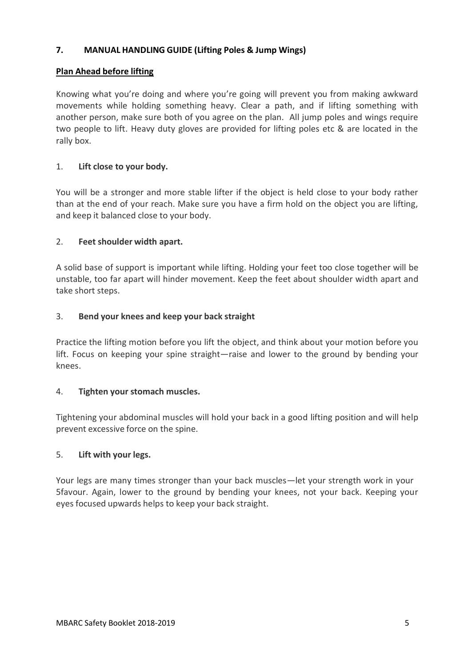## **7. MANUAL HANDLING GUIDE (Lifting Poles & Jump Wings)**

## **Plan Ahead before lifting**

Knowing what you're doing and where you're going will prevent you from making awkward movements while holding something heavy. Clear a path, and if lifting something with another person, make sure both of you agree on the plan. All jump poles and wings require two people to lift. Heavy duty gloves are provided for lifting poles etc & are located in the rally box.

## 1. **Lift close to your body.**

You will be a stronger and more stable lifter if the object is held close to your body rather than at the end of your reach. Make sure you have a firm hold on the object you are lifting, and keep it balanced close to your body.

## 2. **Feet shoulder width apart.**

A solid base of support is important while lifting. Holding your feet too close together will be unstable, too far apart will hinder movement. Keep the feet about shoulder width apart and take short steps.

## 3. **Bend your knees and keep your back straight**

Practice the lifting motion before you lift the object, and think about your motion before you lift. Focus on keeping your spine straight—raise and lower to the ground by bending your knees.

#### 4. **Tighten your stomach muscles.**

Tightening your abdominal muscles will hold your back in a good lifting position and will help prevent excessive force on the spine.

#### 5. **Lift with your legs.**

Your legs are many times stronger than your back muscles—let your strength work in your 5favour. Again, lower to the ground by bending your knees, not your back. Keeping your eyes focused upwards helps to keep your back straight.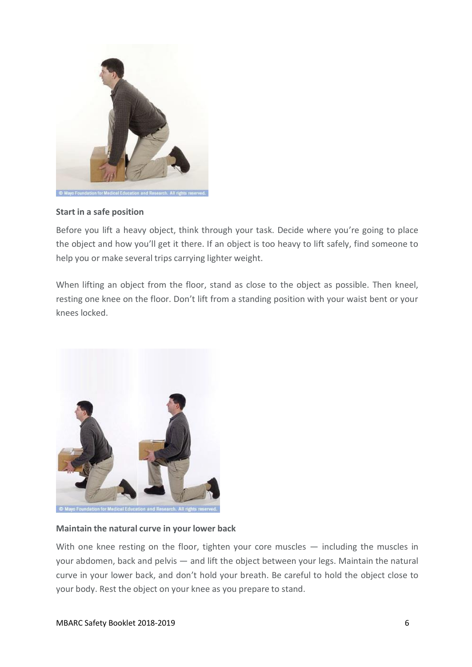

#### **Start in a safe position**

Before you lift a heavy object, think through your task. Decide where you're going to place the object and how you'll get it there. If an object is too heavy to lift safely, find someone to help you or make several trips carrying lighter weight.

When lifting an object from the floor, stand as close to the object as possible. Then kneel, resting one knee on the floor. Don't lift from a standing position with your waist bent or your knees locked.



#### **Maintain the natural curve in your lower back**

With one knee resting on the floor, tighten your core muscles — including the muscles in your abdomen, back and pelvis — and lift the object between your legs. Maintain the natural curve in your lower back, and don't hold your breath. Be careful to hold the object close to your body. Rest the object on your knee as you prepare to stand.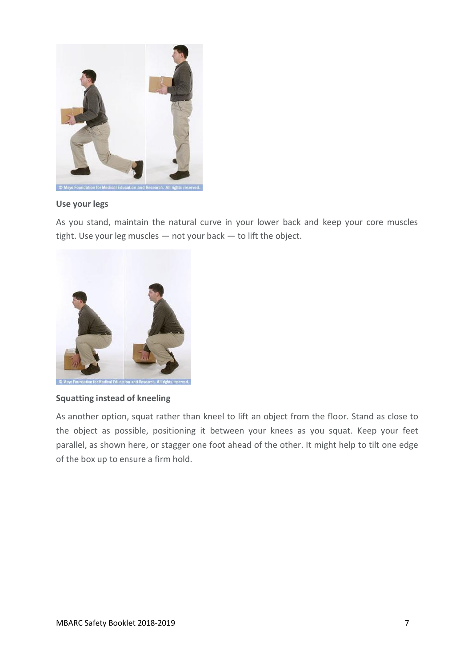

#### **Use your legs**

As you stand, maintain the natural curve in your lower back and keep your core muscles tight. Use your leg muscles — not your back — to lift the object.



#### **Squatting instead of kneeling**

As another option, squat rather than kneel to lift an object from the floor. Stand as close to the object as possible, positioning it between your knees as you squat. Keep your feet parallel, as shown here, or stagger one foot ahead of the other. It might help to tilt one edge of the box up to ensure a firm hold.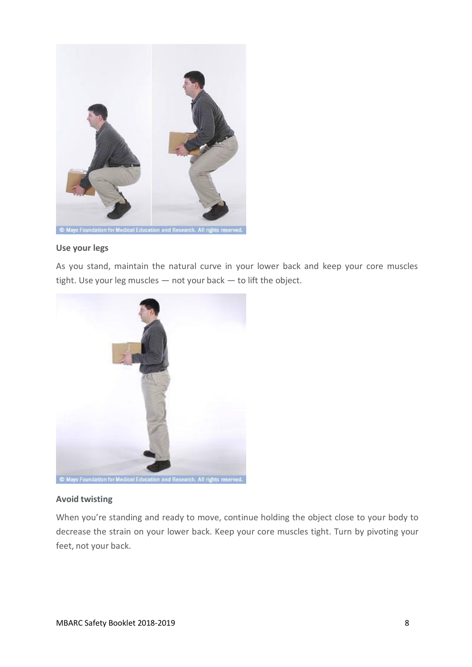

#### **Use your legs**

As you stand, maintain the natural curve in your lower back and keep your core muscles tight. Use your leg muscles — not your back — to lift the object.



#### **Avoid twisting**

When you're standing and ready to move, continue holding the object close to your body to decrease the strain on your lower back. Keep your core muscles tight. Turn by pivoting your feet, not your back.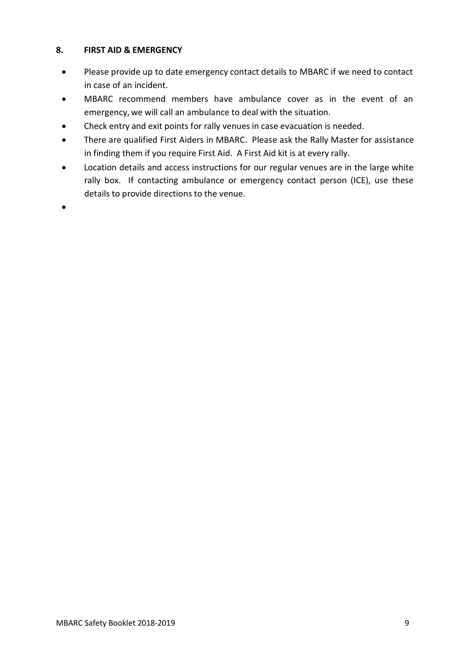## **8. FIRST AID & EMERGENCY**

- Please provide up to date emergency contact details to MBARC if we need to contact in case of an incident.
- MBARC recommend members have ambulance cover as in the event of an emergency, we will call an ambulance to deal with the situation.
- Check entry and exit points for rally venues in case evacuation is needed.
- There are qualified First Aiders in MBARC. Please ask the Rally Master for assistance in finding them if you require First Aid. A First Aid kit is at every rally.
- Location details and access instructions for our regular venues are in the large white rally box. If contacting ambulance or emergency contact person (ICE), use these details to provide directions to the venue.

 $\bullet$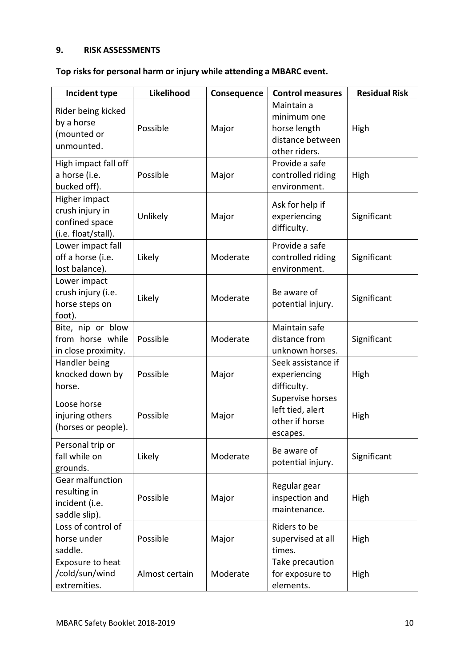## **9. RISK ASSESSMENTS**

## **Top risks for personal harm or injury while attending a MBARC event.**

| Incident type                                                             | Likelihood     | Consequence | <b>Control measures</b>                                                        | <b>Residual Risk</b> |
|---------------------------------------------------------------------------|----------------|-------------|--------------------------------------------------------------------------------|----------------------|
| Rider being kicked<br>by a horse<br>(mounted or<br>unmounted.             | Possible       | Major       | Maintain a<br>minimum one<br>horse length<br>distance between<br>other riders. | High                 |
| High impact fall off<br>a horse (i.e.<br>bucked off).                     | Possible       | Major       | Provide a safe<br>controlled riding<br>environment.                            | High                 |
| Higher impact<br>crush injury in<br>confined space<br>(i.e. float/stall). | Unlikely       | Major       | Ask for help if<br>experiencing<br>difficulty.                                 | Significant          |
| Lower impact fall<br>off a horse (i.e.<br>lost balance).                  | Likely         | Moderate    | Provide a safe<br>controlled riding<br>environment.                            | Significant          |
| Lower impact<br>crush injury (i.e.<br>horse steps on<br>foot).            | Likely         | Moderate    | Be aware of<br>potential injury.                                               | Significant          |
| Bite, nip or blow<br>from horse while<br>in close proximity.              | Possible       | Moderate    | Maintain safe<br>distance from<br>unknown horses.                              | Significant          |
| Handler being<br>knocked down by<br>horse.                                | Possible       | Major       | Seek assistance if<br>experiencing<br>difficulty.                              | High                 |
| Loose horse<br>injuring others<br>(horses or people).                     | Possible       | Major       | Supervise horses<br>left tied, alert<br>other if horse<br>escapes.             | High                 |
| Personal trip or<br>fall while on<br>grounds.                             | Likely         | Moderate    | Be aware of<br>potential injury.                                               | Significant          |
| Gear malfunction<br>resulting in<br>incident (i.e.<br>saddle slip).       | Possible       | Major       | Regular gear<br>inspection and<br>maintenance.                                 | High                 |
| Loss of control of<br>horse under<br>saddle.                              | Possible       | Major       | Riders to be<br>supervised at all<br>times.                                    | High                 |
| Exposure to heat<br>/cold/sun/wind<br>extremities.                        | Almost certain | Moderate    | Take precaution<br>for exposure to<br>elements.                                | High                 |